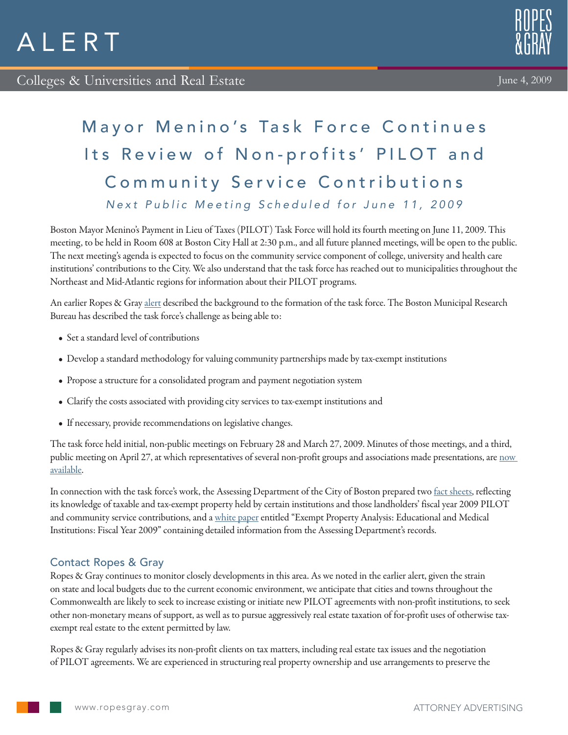## Mayor Menino's Task Force Continues Its Review of Non-profits' PILOT and Community Service Contributions Next Public Meeting Scheduled for June 11, 2009

Boston Mayor Menino's Payment in Lieu of Taxes (PILOT) Task Force will hold its fourth meeting on June 11, 2009. This meeting, to be held in Room 608 at Boston City Hall at 2:30 p.m., and all future planned meetings, will be open to the public. The next meeting's agenda is expected to focus on the community service component of college, university and health care institutions' contributions to the City. We also understand that the task force has reached out to municipalities throughout the Northeast and Mid-Atlantic regions for information about their PILOT programs.

An earlier Ropes & Gray [alert](http://www.ropesgray.com/nonprofitsaddressrevenueshortfall/) described the background to the formation of the task force. The Boston Municipal Research Bureau has described the task force's challenge as being able to:

- Set a standard level of contributions
- • Develop a standard methodology for valuing community partnerships made by tax-exempt institutions
- Propose a structure for a consolidated program and payment negotiation system
- • Clarify the costs associated with providing city services to tax-exempt institutions and
- • If necessary, provide recommendations on legislative changes.

The task force held initial, non-public meetings on February 28 and March 27, 2009. Minutes of those meetings, and a third, public meeting on April 27, at which representatives of several non-profit groups and associations made presentations, are now [available.](http://www.ropesgray.com/files/upload/060409_REAlert_NowAvailable.pdf)

In connection with the task force's work, the Assessing Department of the City of Boston prepared two [fact sheets,](http://www.ropesgray.com/files/upload/060409_REAlert_FactSheet.pdf) reflecting its knowledge of taxable and tax-exempt property held by certain institutions and those landholders' fiscal year 2009 PILOT and community service contributions, and a [white paper](http://www.ropesgray.com/files/upload/060409_REAlert_WhitePaper.pdf) entitled "Exempt Property Analysis: Educational and Medical Institutions: Fiscal Year 2009" containing detailed information from the Assessing Department's records.

## Contact Ropes & Gray

Ropes & Gray continues to monitor closely developments in this area. As we noted in the earlier alert, given the strain on state and local budgets due to the current economic environment, we anticipate that cities and towns throughout the Commonwealth are likely to seek to increase existing or initiate new PILOT agreements with non-profit institutions, to seek other non-monetary means of support, as well as to pursue aggressively real estate taxation of for-profit uses of otherwise taxexempt real estate to the extent permitted by law.

Ropes & Gray regularly advises its non-profit clients on tax matters, including real estate tax issues and the negotiation of PILOT agreements. We are experienced in structuring real property ownership and use arrangements to preserve the